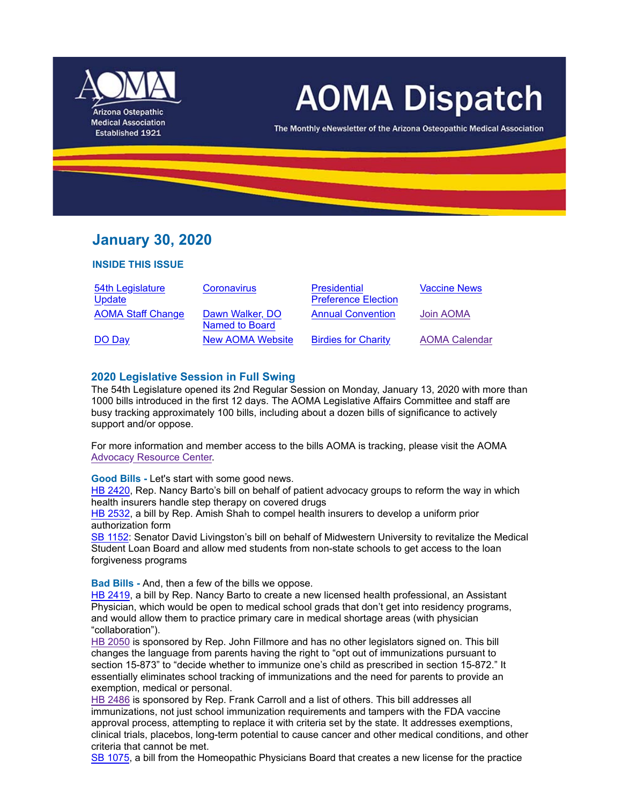

# **AOMA Dispatch**

The Monthly eNewsletter of the Arizona Osteopathic Medical Association

# **January 30, 2020**

#### **INSIDE THIS ISSUE**

| 54th Legislature         | Coronavirus                       | <b>Presidential</b>        | <b>Vaccine News</b>  |
|--------------------------|-----------------------------------|----------------------------|----------------------|
| Update                   |                                   | <b>Preference Election</b> |                      |
| <b>AOMA Staff Change</b> | Dawn Walker, DO<br>Named to Board | <b>Annual Convention</b>   | Join AOMA            |
| DO Day                   | <b>New AOMA Website</b>           | <b>Birdies for Charity</b> | <b>AOMA Calendar</b> |

## **2020 Legislative Session in Full Swing**

The 54th Legislature opened its 2nd Regular Session on Monday, January 13, 2020 with more than 1000 bills introduced in the first 12 days. The AOMA Legislative Affairs Committee and staff are busy tracking approximately 100 bills, including about a dozen bills of significance to actively support and/or oppose.

For more information and member access to the bills AOMA is tracking, please visit the AOMA Advocacy Resource Center.

**Good Bills -** Let's start with some good news.

HB 2420, Rep. Nancy Barto's bill on behalf of patient advocacy groups to reform the way in which health insurers handle step therapy on covered drugs

HB 2532, a bill by Rep. Amish Shah to compel health insurers to develop a uniform prior authorization form

SB 1152: Senator David Livingston's bill on behalf of Midwestern University to revitalize the Medical Student Loan Board and allow med students from non-state schools to get access to the loan forgiveness programs

**Bad Bills -** And, then a few of the bills we oppose.

HB 2419, a bill by Rep. Nancy Barto to create a new licensed health professional, an Assistant Physician, which would be open to medical school grads that don't get into residency programs, and would allow them to practice primary care in medical shortage areas (with physician "collaboration").

HB 2050 is sponsored by Rep. John Fillmore and has no other legislators signed on. This bill changes the language from parents having the right to "opt out of immunizations pursuant to section 15-873" to "decide whether to immunize one's child as prescribed in section 15-872." It essentially eliminates school tracking of immunizations and the need for parents to provide an exemption, medical or personal.

HB 2486 is sponsored by Rep. Frank Carroll and a list of others. This bill addresses all immunizations, not just school immunization requirements and tampers with the FDA vaccine approval process, attempting to replace it with criteria set by the state. It addresses exemptions, clinical trials, placebos, long-term potential to cause cancer and other medical conditions, and other criteria that cannot be met.

SB 1075, a bill from the Homeopathic Physicians Board that creates a new license for the practice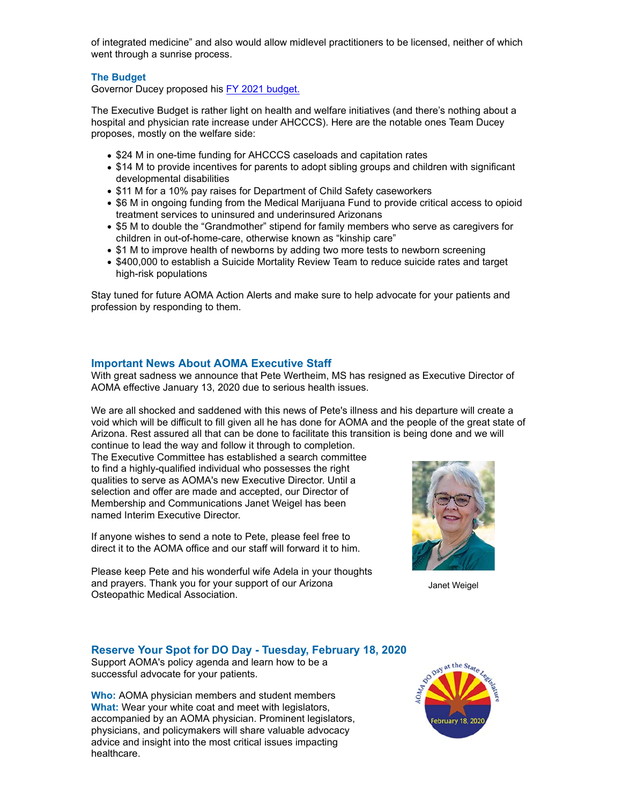of integrated medicine" and also would allow midlevel practitioners to be licensed, neither of which went through a sunrise process.

#### **The Budget**

Governor Ducey proposed his FY 2021 budget.

The Executive Budget is rather light on health and welfare initiatives (and there's nothing about a hospital and physician rate increase under AHCCCS). Here are the notable ones Team Ducey proposes, mostly on the welfare side:

- \$24 M in one-time funding for AHCCCS caseloads and capitation rates
- \$14 M to provide incentives for parents to adopt sibling groups and children with significant developmental disabilities
- \$11 M for a 10% pay raises for Department of Child Safety caseworkers
- \$6 M in ongoing funding from the Medical Marijuana Fund to provide critical access to opioid treatment services to uninsured and underinsured Arizonans
- \$5 M to double the "Grandmother" stipend for family members who serve as caregivers for children in out-of-home-care, otherwise known as "kinship care"
- \$1 M to improve health of newborns by adding two more tests to newborn screening
- \$400,000 to establish a Suicide Mortality Review Team to reduce suicide rates and target high-risk populations

Stay tuned for future AOMA Action Alerts and make sure to help advocate for your patients and profession by responding to them.

#### **Important News About AOMA Executive Staff**

With great sadness we announce that Pete Wertheim, MS has resigned as Executive Director of AOMA effective January 13, 2020 due to serious health issues.

We are all shocked and saddened with this news of Pete's illness and his departure will create a void which will be difficult to fill given all he has done for AOMA and the people of the great state of Arizona. Rest assured all that can be done to facilitate this transition is being done and we will

continue to lead the way and follow it through to completion. The Executive Committee has established a search committee to find a highly-qualified individual who possesses the right qualities to serve as AOMA's new Executive Director. Until a selection and offer are made and accepted, our Director of Membership and Communications Janet Weigel has been named Interim Executive Director.

If anyone wishes to send a note to Pete, please feel free to direct it to the AOMA office and our staff will forward it to him.

Please keep Pete and his wonderful wife Adela in your thoughts and prayers. Thank you for your support of our Arizona Osteopathic Medical Association.



Janet Weigel

#### **Reserve Your Spot for DO Day - Tuesday, February 18, 2020**

Support AOMA's policy agenda and learn how to be a successful advocate for your patients.

**Who:** AOMA physician members and student members **What:** Wear your white coat and meet with legislators, accompanied by an AOMA physician. Prominent legislators, physicians, and policymakers will share valuable advocacy advice and insight into the most critical issues impacting healthcare.

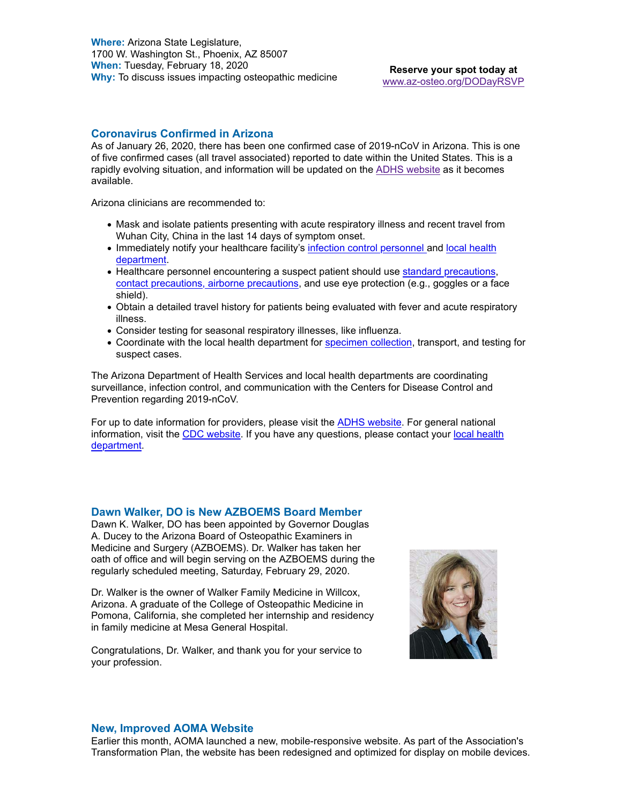**Where:** Arizona State Legislature, 1700 W. Washington St., Phoenix, AZ 85007 **When:** Tuesday, February 18, 2020 **When:** Tuesday, February 16, 2020<br>Why: To discuss issues impacting osteopathic medicine **Reserve your spot today at** 

www.az-osteo.org/DODayRSVP

#### **Coronavirus Confirmed in Arizona**

As of January 26, 2020, there has been one confirmed case of 2019-nCoV in Arizona. This is one of five confirmed cases (all travel associated) reported to date within the United States. This is a rapidly evolving situation, and information will be updated on the ADHS website as it becomes available.

Arizona clinicians are recommended to:

- Mask and isolate patients presenting with acute respiratory illness and recent travel from Wuhan City, China in the last 14 days of symptom onset.
- Immediately notify your healthcare facility's infection control personnel and local health department.
- Healthcare personnel encountering a suspect patient should use standard precautions, contact precautions, airborne precautions, and use eye protection (e.g., goggles or a face shield).
- Obtain a detailed travel history for patients being evaluated with fever and acute respiratory illness.
- Consider testing for seasonal respiratory illnesses, like influenza.
- Coordinate with the local health department for specimen collection, transport, and testing for suspect cases.

The Arizona Department of Health Services and local health departments are coordinating surveillance, infection control, and communication with the Centers for Disease Control and Prevention regarding 2019-nCoV.

For up to date information for providers, please visit the ADHS website. For general national information, visit the CDC website. If you have any questions, please contact your local health department.

#### **Dawn Walker, DO is New AZBOEMS Board Member**

Dawn K. Walker, DO has been appointed by Governor Douglas A. Ducey to the Arizona Board of Osteopathic Examiners in Medicine and Surgery (AZBOEMS). Dr. Walker has taken her oath of office and will begin serving on the AZBOEMS during the regularly scheduled meeting, Saturday, February 29, 2020.

Dr. Walker is the owner of Walker Family Medicine in Willcox, Arizona. A graduate of the College of Osteopathic Medicine in Pomona, California, she completed her internship and residency in family medicine at Mesa General Hospital.

Congratulations, Dr. Walker, and thank you for your service to your profession.



#### **New, Improved AOMA Website**

Earlier this month, AOMA launched a new, mobile-responsive website. As part of the Association's Transformation Plan, the website has been redesigned and optimized for display on mobile devices.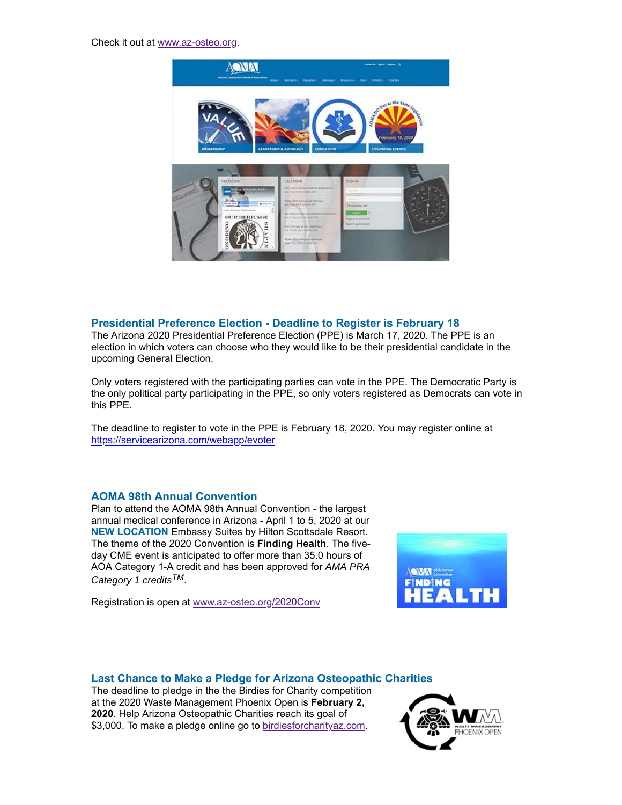Check it out at www.az-osteo.org.



#### **Presidential Preference Election - Deadline to Register is February 18**

The Arizona 2020 Presidential Preference Election (PPE) is March 17, 2020. The PPE is an election in which voters can choose who they would like to be their presidential candidate in the upcoming General Election.

Only voters registered with the participating parties can vote in the PPE. The Democratic Party is the only political party participating in the PPE, so only voters registered as Democrats can vote in this PPE.

The deadline to register to vote in the PPE is February 18, 2020. You may register online at https://servicearizona.com/webapp/evoter

#### **AOMA 98th Annual Convention**

Plan to attend the AOMA 98th Annual Convention - the largest annual medical conference in Arizona - April 1 to 5, 2020 at our **NEW LOCATION** Embassy Suites by Hilton Scottsdale Resort. The theme of the 2020 Convention is **Finding Health**. The fiveday CME event is anticipated to offer more than 35.0 hours of AOA Category 1-A credit and has been approved for *AMA PRA Category 1 creditsTM*.

Registration is open at www.az-osteo.org/2020Conv



## **Last Chance to Make a Pledge for Arizona Osteopathic Charities**

The deadline to pledge in the the Birdies for Charity competition at the 2020 Waste Management Phoenix Open is **February 2, 2020**. Help Arizona Osteopathic Charities reach its goal of \$3,000. To make a pledge online go to birdiesforcharityaz.com.

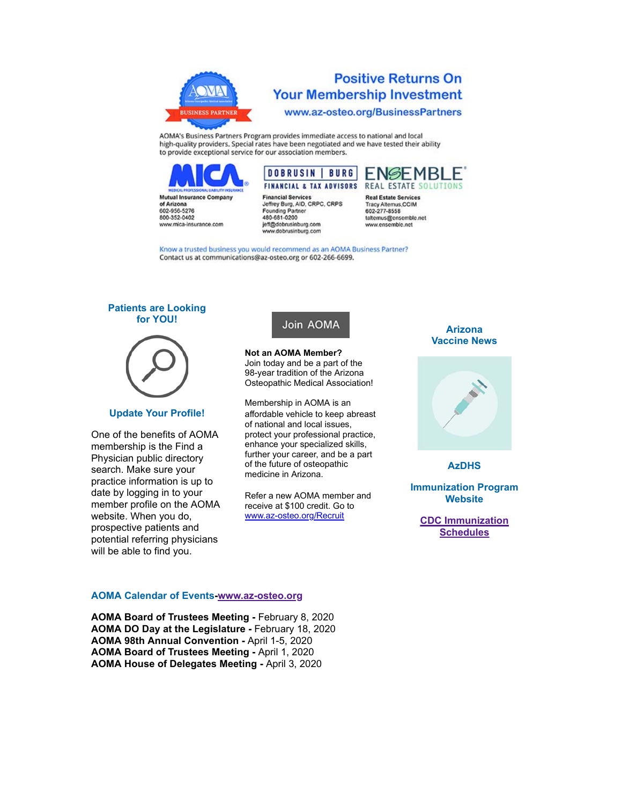

## **Positive Returns On Your Membership Investment** www.az-osteo.org/BusinessPartners

AOMA's Business Partners Program provides immediate access to national and local high-quality providers. Special rates have been negotiated and we have tested their ability to provide exceptional service for our association members.



800-352-0402

www.mica-insurance.com



**Financial Services** Jeffrey Burg, AID, CRPC, CRPS **Founding Partner** 480-681-0200 jeff@dobrusinburg.com www.dobrusinburg.com

**Real Estate Services** Tracy Alternus, CCIM **802-277-8558** taltemus@ensemble.net www.ensemble.net

Know a trusted business you would recommend as an AOMA Business Partner? Contact us at communications@az-osteo.org or 602-266-6699.

#### **Patients are Looking for YOU!**



#### **Update Your Profile!**

One of the benefits of AOMA membership is the Find a Physician public directory search. Make sure your practice information is up to date by logging in to your member profile on the AOMA website. When you do, prospective patients and potential referring physicians will be able to find you.

## Join AOMA

**Not an AOMA Member?** Join today and be a part of the 98-year tradition of the Arizona Osteopathic Medical Association!

Membership in AOMA is an affordable vehicle to keep abreast of national and local issues, protect your professional practice, enhance your specialized skills, further your career, and be a part of the future of osteopathic medicine in Arizona.

Refer a new AOMA member and receive at \$100 credit. Go to www.az-osteo.org/Recruit

#### **Arizona Vaccine News**



**AzDHS**

**Immunization Program Website**

**CDC Immunization Schedules**

#### **AOMA Calendar of Events-www.az-osteo.org**

**AOMA Board of Trustees Meeting -** February 8, 2020 **AOMA DO Day at the Legislature -** February 18, 2020 **AOMA 98th Annual Convention -** April 1-5, 2020 **AOMA Board of Trustees Meeting -** April 1, 2020 **AOMA House of Delegates Meeting -** April 3, 2020